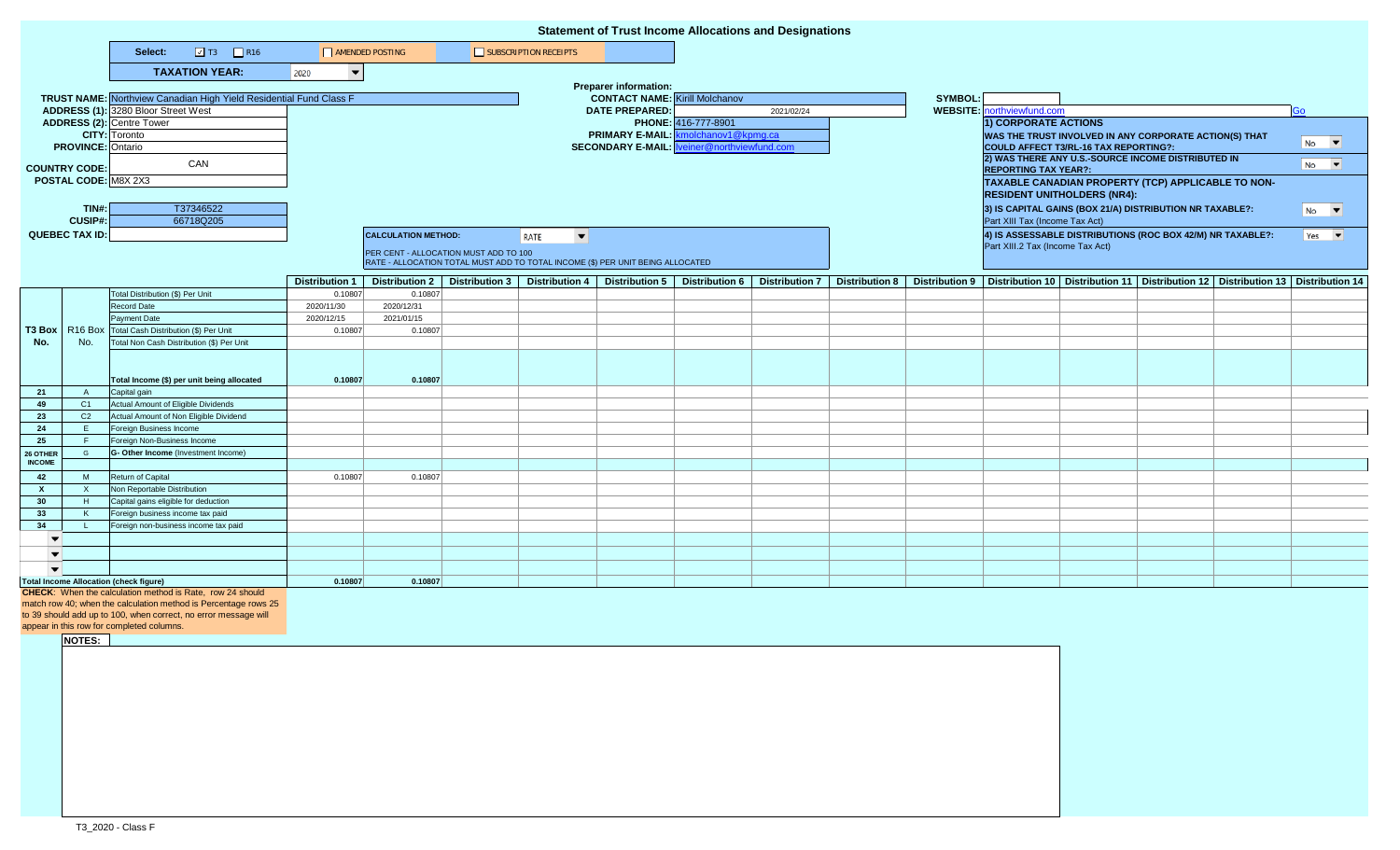|                                                                 | <b>Statement of Trust Income Allocations and Designations</b> |                                                                                                            |                                       |                            |                                       |                                                                                |                                                    |                               |            |  |                                                                                                                            |                                                          |                                                                                                                           |  |  |                           |
|-----------------------------------------------------------------|---------------------------------------------------------------|------------------------------------------------------------------------------------------------------------|---------------------------------------|----------------------------|---------------------------------------|--------------------------------------------------------------------------------|----------------------------------------------------|-------------------------------|------------|--|----------------------------------------------------------------------------------------------------------------------------|----------------------------------------------------------|---------------------------------------------------------------------------------------------------------------------------|--|--|---------------------------|
|                                                                 |                                                               | $\boxed{2}$ T3 $\boxed{2}$ R16<br>Select:                                                                  | AMENDED POSTING                       |                            |                                       | SUBSCRIPTION RECEIPTS                                                          |                                                    |                               |            |  |                                                                                                                            |                                                          |                                                                                                                           |  |  |                           |
|                                                                 |                                                               | <b>TAXATION YEAR:</b>                                                                                      | 2020<br>$\overline{\phantom{a}}$      |                            |                                       |                                                                                |                                                    |                               |            |  |                                                                                                                            |                                                          |                                                                                                                           |  |  |                           |
|                                                                 |                                                               |                                                                                                            |                                       |                            |                                       |                                                                                | <b>Preparer information:</b>                       |                               |            |  |                                                                                                                            |                                                          |                                                                                                                           |  |  |                           |
|                                                                 |                                                               | <b>TRUST NAME:</b> Northview Canadian High Yield Residential Fund Class F                                  | <b>CONTACT NAME:</b> Kirill Molchanov |                            |                                       | <b>SYMBOL:</b>                                                                 |                                                    |                               |            |  |                                                                                                                            |                                                          |                                                                                                                           |  |  |                           |
|                                                                 |                                                               | ADDRESS (1): 3280 Bloor Street West                                                                        |                                       |                            |                                       |                                                                                | <b>DATE PREPARED:</b>                              |                               | 2021/02/24 |  |                                                                                                                            | <b>WEBSITE:</b> northviewfund.com                        |                                                                                                                           |  |  | Go                        |
|                                                                 |                                                               | ADDRESS (2): Centre Tower                                                                                  |                                       |                            |                                       |                                                                                |                                                    | PHONE: 416-777-8901           |            |  |                                                                                                                            | 1) CORPORATE ACTIONS                                     |                                                                                                                           |  |  |                           |
|                                                                 |                                                               | <b>CITY:</b> Toronto                                                                                       |                                       |                            |                                       |                                                                                | PRIMARY E-MAIL: kmolchanov1@kpmg.ca                |                               |            |  |                                                                                                                            | WAS THE TRUST INVOLVED IN ANY CORPORATE ACTION(S) THAT   |                                                                                                                           |  |  | $No$ $\blacktriangledown$ |
| <b>PROVINCE: Ontario</b>                                        |                                                               |                                                                                                            |                                       |                            |                                       |                                                                                | <b>SECONDARY E-MAIL: Iveiner@northviewfund.com</b> |                               |            |  | COULD AFFECT T3/RL-16 TAX REPORTING?:<br>2) WAS THERE ANY U.S.-SOURCE INCOME DISTRIBUTED IN<br><b>REPORTING TAX YEAR?:</b> |                                                          |                                                                                                                           |  |  |                           |
| <b>COUNTRY CODE:</b>                                            |                                                               | CAN                                                                                                        |                                       |                            |                                       |                                                                                |                                                    |                               |            |  |                                                                                                                            |                                                          |                                                                                                                           |  |  | $No$ $\blacktriangledown$ |
| POSTAL CODE: M8X 2X3                                            |                                                               |                                                                                                            |                                       |                            |                                       |                                                                                |                                                    |                               |            |  |                                                                                                                            | TAXABLE CANADIAN PROPERTY (TCP) APPLICABLE TO NON-       |                                                                                                                           |  |  |                           |
|                                                                 |                                                               |                                                                                                            |                                       |                            |                                       |                                                                                |                                                    |                               |            |  |                                                                                                                            | <b>RESIDENT UNITHOLDERS (NR4):</b>                       |                                                                                                                           |  |  |                           |
| TIN#:                                                           |                                                               | T37346522                                                                                                  |                                       |                            |                                       |                                                                                |                                                    |                               |            |  |                                                                                                                            | 3) IS CAPITAL GAINS (BOX 21/A) DISTRIBUTION NR TAXABLE?: |                                                                                                                           |  |  | $N0$ $\blacktriangledown$ |
| <b>CUSIP#:</b>                                                  |                                                               | 66718Q205                                                                                                  |                                       |                            |                                       |                                                                                |                                                    |                               |            |  |                                                                                                                            | Part XIII Tax (Income Tax Act)                           |                                                                                                                           |  |  |                           |
| <b>QUEBEC TAX ID:</b>                                           |                                                               |                                                                                                            |                                       | <b>CALCULATION METHOD:</b> |                                       | $\overline{\phantom{a}}$<br>RATE                                               |                                                    |                               |            |  |                                                                                                                            |                                                          | 4) IS ASSESSABLE DISTRIBUTIONS (ROC BOX 42/M) NR TAXABLE?:                                                                |  |  | $Yes \t~$                 |
|                                                                 |                                                               |                                                                                                            |                                       |                            | PER CENT - ALLOCATION MUST ADD TO 100 |                                                                                |                                                    |                               |            |  |                                                                                                                            |                                                          | Part XIII.2 Tax (Income Tax Act)                                                                                          |  |  |                           |
|                                                                 |                                                               |                                                                                                            |                                       |                            |                                       | RATE - ALLOCATION TOTAL MUST ADD TO TOTAL INCOME (\$) PER UNIT BEING ALLOCATED |                                                    |                               |            |  |                                                                                                                            |                                                          |                                                                                                                           |  |  |                           |
|                                                                 |                                                               |                                                                                                            | <b>Distribution 1</b>                 | <b>Distribution 2</b>      |                                       | Distribution 3   Distribution 4   Distribution 5                               |                                                    | Distribution 6 Distribution 7 |            |  |                                                                                                                            |                                                          | Distribution 8   Distribution 9   Distribution 10   Distribution 11   Distribution 12   Distribution 13   Distribution 14 |  |  |                           |
|                                                                 |                                                               | Total Distribution (\$) Per Unit                                                                           | 0.10807                               | 0.10807                    |                                       |                                                                                |                                                    |                               |            |  |                                                                                                                            |                                                          |                                                                                                                           |  |  |                           |
|                                                                 |                                                               | Record Date                                                                                                | 2020/11/30                            | 2020/12/31                 |                                       |                                                                                |                                                    |                               |            |  |                                                                                                                            |                                                          |                                                                                                                           |  |  |                           |
|                                                                 |                                                               | Payment Date                                                                                               | 2020/12/15                            | 2021/01/15                 |                                       |                                                                                |                                                    |                               |            |  |                                                                                                                            |                                                          |                                                                                                                           |  |  |                           |
| T3 Box                                                          |                                                               | R16 Box Total Cash Distribution (\$) Per Unit                                                              | 0.10807                               | 0.10807                    |                                       |                                                                                |                                                    |                               |            |  |                                                                                                                            |                                                          |                                                                                                                           |  |  |                           |
| No.                                                             | No.                                                           | Total Non Cash Distribution (\$) Per Unit                                                                  |                                       |                            |                                       |                                                                                |                                                    |                               |            |  |                                                                                                                            |                                                          |                                                                                                                           |  |  |                           |
|                                                                 |                                                               |                                                                                                            |                                       |                            |                                       |                                                                                |                                                    |                               |            |  |                                                                                                                            |                                                          |                                                                                                                           |  |  |                           |
|                                                                 |                                                               | Total Income (\$) per unit being allocated                                                                 | 0.10807                               | 0.10807                    |                                       |                                                                                |                                                    |                               |            |  |                                                                                                                            |                                                          |                                                                                                                           |  |  |                           |
| 21                                                              | A                                                             | Capital gain                                                                                               |                                       |                            |                                       |                                                                                |                                                    |                               |            |  |                                                                                                                            |                                                          |                                                                                                                           |  |  |                           |
| 49                                                              | C1                                                            | Actual Amount of Eligible Dividends                                                                        |                                       |                            |                                       |                                                                                |                                                    |                               |            |  |                                                                                                                            |                                                          |                                                                                                                           |  |  |                           |
| 23                                                              | C <sub>2</sub>                                                | Actual Amount of Non Eligible Dividend                                                                     |                                       |                            |                                       |                                                                                |                                                    |                               |            |  |                                                                                                                            |                                                          |                                                                                                                           |  |  |                           |
| 24                                                              | E.                                                            | Foreign Business Income                                                                                    |                                       |                            |                                       |                                                                                |                                                    |                               |            |  |                                                                                                                            |                                                          |                                                                                                                           |  |  |                           |
| 25                                                              | -F                                                            | Foreign Non-Business Income                                                                                |                                       |                            |                                       |                                                                                |                                                    |                               |            |  |                                                                                                                            |                                                          |                                                                                                                           |  |  |                           |
| 26 OTHER<br><b>INCOME</b>                                       | G                                                             | G- Other Income (Investment Income)                                                                        |                                       |                            |                                       |                                                                                |                                                    |                               |            |  |                                                                                                                            |                                                          |                                                                                                                           |  |  |                           |
| 42                                                              | M                                                             | Return of Capital                                                                                          | 0.10807                               | 0.10807                    |                                       |                                                                                |                                                    |                               |            |  |                                                                                                                            |                                                          |                                                                                                                           |  |  |                           |
| X.                                                              | $\mathsf{X}$                                                  | Non Reportable Distribution                                                                                |                                       |                            |                                       |                                                                                |                                                    |                               |            |  |                                                                                                                            |                                                          |                                                                                                                           |  |  |                           |
| 30                                                              | H                                                             | Capital gains eligible for deduction                                                                       |                                       |                            |                                       |                                                                                |                                                    |                               |            |  |                                                                                                                            |                                                          |                                                                                                                           |  |  |                           |
| 33                                                              | K                                                             | Foreign business income tax paid                                                                           |                                       |                            |                                       |                                                                                |                                                    |                               |            |  |                                                                                                                            |                                                          |                                                                                                                           |  |  |                           |
| 34                                                              |                                                               | Foreign non-business income tax paid                                                                       |                                       |                            |                                       |                                                                                |                                                    |                               |            |  |                                                                                                                            |                                                          |                                                                                                                           |  |  |                           |
| $\overline{\phantom{a}}$                                        |                                                               |                                                                                                            |                                       |                            |                                       |                                                                                |                                                    |                               |            |  |                                                                                                                            |                                                          |                                                                                                                           |  |  |                           |
| $\overline{\phantom{a}}$                                        |                                                               |                                                                                                            |                                       |                            |                                       |                                                                                |                                                    |                               |            |  |                                                                                                                            |                                                          |                                                                                                                           |  |  |                           |
| $\overline{\phantom{a}}$                                        |                                                               |                                                                                                            |                                       |                            |                                       |                                                                                |                                                    |                               |            |  |                                                                                                                            |                                                          |                                                                                                                           |  |  |                           |
|                                                                 |                                                               | <b>Total Income Allocation (check figure)</b><br>CHECK: When the calculation method is Rate, row 24 should | 0.10807                               | 0.10807                    |                                       |                                                                                |                                                    |                               |            |  |                                                                                                                            |                                                          |                                                                                                                           |  |  |                           |
|                                                                 |                                                               | match row 40; when the calculation method is Percentage rows 25                                            |                                       |                            |                                       |                                                                                |                                                    |                               |            |  |                                                                                                                            |                                                          |                                                                                                                           |  |  |                           |
| to 39 should add up to 100, when correct, no error message will |                                                               |                                                                                                            |                                       |                            |                                       |                                                                                |                                                    |                               |            |  |                                                                                                                            |                                                          |                                                                                                                           |  |  |                           |
|                                                                 |                                                               | appear in this row for completed columns.                                                                  |                                       |                            |                                       |                                                                                |                                                    |                               |            |  |                                                                                                                            |                                                          |                                                                                                                           |  |  |                           |
|                                                                 | NOTES:                                                        |                                                                                                            |                                       |                            |                                       |                                                                                |                                                    |                               |            |  |                                                                                                                            |                                                          |                                                                                                                           |  |  |                           |
|                                                                 |                                                               |                                                                                                            |                                       |                            |                                       |                                                                                |                                                    |                               |            |  |                                                                                                                            |                                                          |                                                                                                                           |  |  |                           |
|                                                                 |                                                               |                                                                                                            |                                       |                            |                                       |                                                                                |                                                    |                               |            |  |                                                                                                                            |                                                          |                                                                                                                           |  |  |                           |
|                                                                 |                                                               |                                                                                                            |                                       |                            |                                       |                                                                                |                                                    |                               |            |  |                                                                                                                            |                                                          |                                                                                                                           |  |  |                           |
|                                                                 |                                                               |                                                                                                            |                                       |                            |                                       |                                                                                |                                                    |                               |            |  |                                                                                                                            |                                                          |                                                                                                                           |  |  |                           |
|                                                                 |                                                               |                                                                                                            |                                       |                            |                                       |                                                                                |                                                    |                               |            |  |                                                                                                                            |                                                          |                                                                                                                           |  |  |                           |
|                                                                 |                                                               |                                                                                                            |                                       |                            |                                       |                                                                                |                                                    |                               |            |  |                                                                                                                            |                                                          |                                                                                                                           |  |  |                           |
|                                                                 |                                                               |                                                                                                            |                                       |                            |                                       |                                                                                |                                                    |                               |            |  |                                                                                                                            |                                                          |                                                                                                                           |  |  |                           |
|                                                                 |                                                               |                                                                                                            |                                       |                            |                                       |                                                                                |                                                    |                               |            |  |                                                                                                                            |                                                          |                                                                                                                           |  |  |                           |
|                                                                 |                                                               |                                                                                                            |                                       |                            |                                       |                                                                                |                                                    |                               |            |  |                                                                                                                            |                                                          |                                                                                                                           |  |  |                           |
|                                                                 |                                                               |                                                                                                            |                                       |                            |                                       |                                                                                |                                                    |                               |            |  |                                                                                                                            |                                                          |                                                                                                                           |  |  |                           |